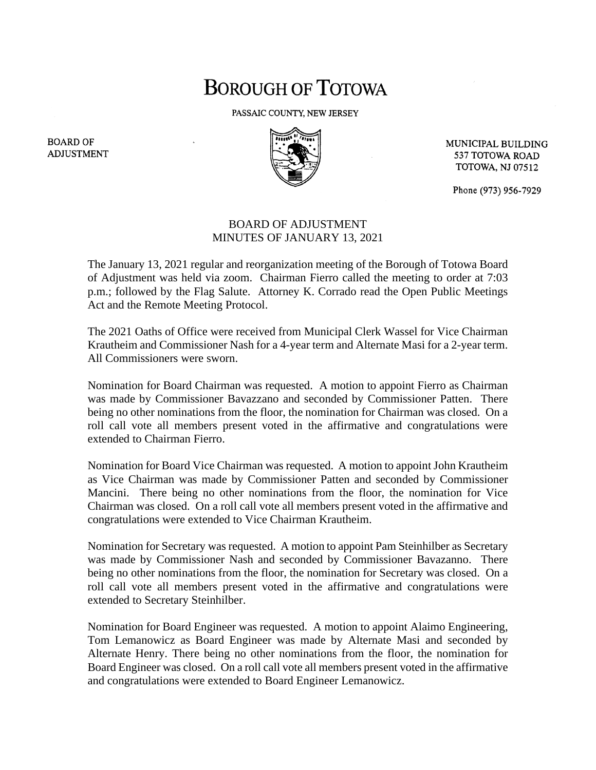## **BOROUGH OF TOTOWA**

PASSAIC COUNTY, NEW JERSEY



MUNICIPAL BUILDING 537 TOTOWA ROAD **TOTOWA, NJ 07512** 

Phone (973) 956-7929

## BOARD OF ADJUSTMENT MINUTES OF JANUARY 13, 2021

The January 13, 2021 regular and reorganization meeting of the Borough of Totowa Board of Adjustment was held via zoom. Chairman Fierro called the meeting to order at 7:03 p.m.; followed by the Flag Salute. Attorney K. Corrado read the Open Public Meetings Act and the Remote Meeting Protocol.

The 2021 Oaths of Office were received from Municipal Clerk Wassel for Vice Chairman Krautheim and Commissioner Nash for a 4-year term and Alternate Masi for a 2-year term. All Commissioners were sworn.

Nomination for Board Chairman was requested. A motion to appoint Fierro as Chairman was made by Commissioner Bavazzano and seconded by Commissioner Patten. There being no other nominations from the floor, the nomination for Chairman was closed. On a roll call vote all members present voted in the affirmative and congratulations were extended to Chairman Fierro.

Nomination for Board Vice Chairman was requested. A motion to appoint John Krautheim as Vice Chairman was made by Commissioner Patten and seconded by Commissioner Mancini. There being no other nominations from the floor, the nomination for Vice Chairman was closed. On a roll call vote all members present voted in the affirmative and congratulations were extended to Vice Chairman Krautheim.

Nomination for Secretary was requested. A motion to appoint Pam Steinhilber as Secretary was made by Commissioner Nash and seconded by Commissioner Bavazanno. There being no other nominations from the floor, the nomination for Secretary was closed. On a roll call vote all members present voted in the affirmative and congratulations were extended to Secretary Steinhilber.

Nomination for Board Engineer was requested. A motion to appoint Alaimo Engineering, Tom Lemanowicz as Board Engineer was made by Alternate Masi and seconded by Alternate Henry. There being no other nominations from the floor, the nomination for Board Engineer was closed. On a roll call vote all members present voted in the affirmative and congratulations were extended to Board Engineer Lemanowicz.

**BOARD OF ADJUSTMENT**